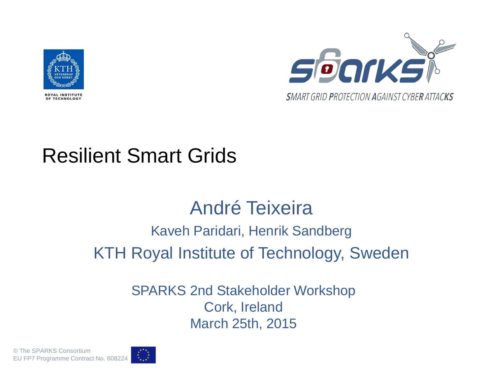

OF TECHNOLOGY



#### Resilient Smart Grids

#### André Teixeira Kaveh Paridari, Henrik Sandberg

KTH Royal Institute of Technology, Sweden

SPARKS 2nd Stakeholder Workshop Cork, Ireland March 25th, 2015

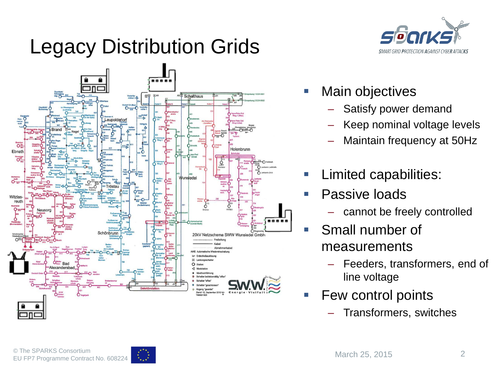# Legacy Distribution Grids





- Main objectives
	- Satisfy power demand
	- Keep nominal voltage levels
	- Maintain frequency at 50Hz
	- Limited capabilities:
	- Passive loads
		- cannot be freely controlled
- **Small number of** measurements
	- Feeders, transformers, end of line voltage
- Few control points
	- Transformers, switches

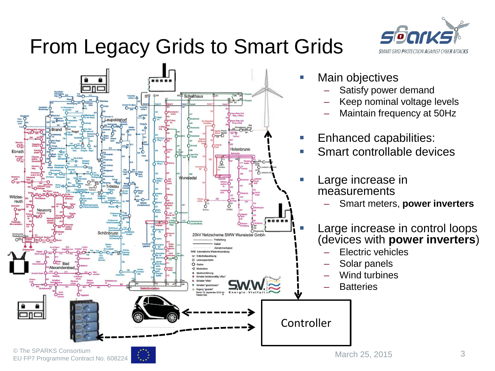# From Legacy Grids to Smart Grids





- Main objectives
	- Satisfy power demand
	- Keep nominal voltage levels
	- Maintain frequency at 50Hz
- Enhanced capabilities:
- Smart controllable devices
- Large increase in measurements
	- Smart meters, **power inverters**
- **Large increase in control loops** (devices with **power inverters**)
	- Electric vehicles
	- Solar panels
	- Wind turbines
	- **Batteries**

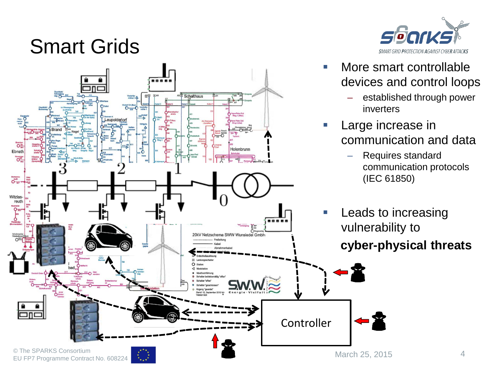#### Smart Grids





- **Nore smart controllable** devices and control loops
	- established through power
- Large increase in communication and data
	- Requires standard communication protocols (IEC 61850)
- Leads to increasing vulnerability to **cyber-physical threats**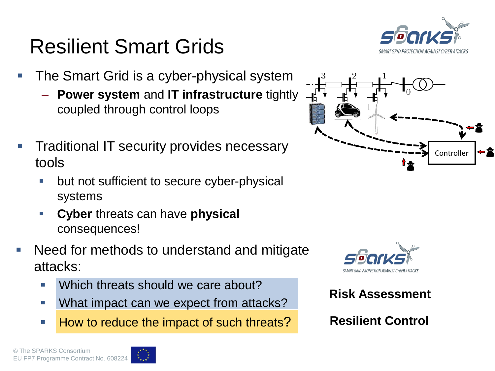#### Resilient Smart Grids

- The Smart Grid is a cyber-physical system
	- **Power system** and **IT infrastructure** tightly coupled through control loops
- Traditional IT security provides necessary tools
	- but not sufficient to secure cyber-physical systems
	- **Cyber** threats can have **physical** consequences!
- Need for methods to understand and mitigate attacks:
	- **Which threats should we care about?**
	- What impact can we expect from attacks?
	- How to reduce the impact of such threats?





**Risk Assessment**

**Resilient Control**

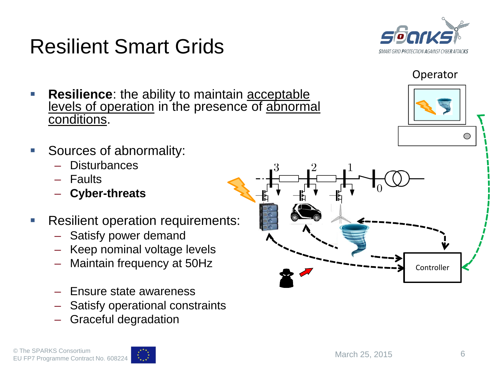

Resilient Smart Grids

- Faults
- **Cyber-threats**
- **Resilient operation requirements:** 
	- Satisfy power demand
	- Keep nominal voltage levels
	- Maintain frequency at 50Hz
	- Ensure state awareness
	- Satisfy operational constraints
	- Graceful degradation



Operator



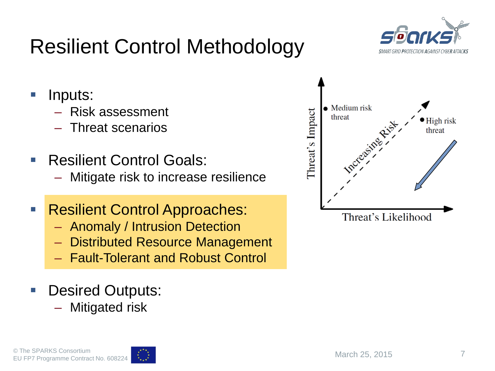#### © The SPARKS Consortium EU FP7 Programme Contract No. 608224

# Resilient Control Methodology

- **I** Inputs:
	- Risk assessment
	- Threat scenarios
- Resilient Control Goals:
	- Mitigate risk to increase resilience
- Resilient Control Approaches:
	- Anomaly / Intrusion Detection
	- Distributed Resource Management
	- Fault-Tolerant and Robust Control
- **Desired Outputs:** 
	- **Mitigated risk**



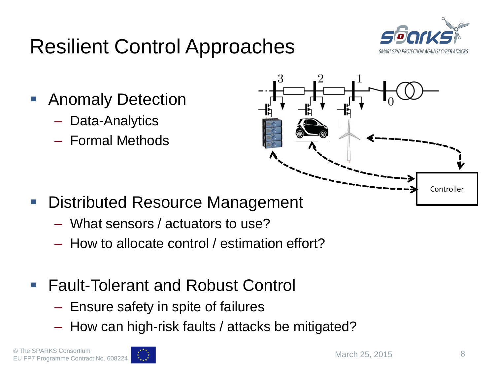### Resilient Control Approaches



- Anomaly Detection
	- Data-Analytics
	- Formal Methods



- Distributed Resource Management
	- What sensors / actuators to use?
	- How to allocate control / estimation effort?
- Fault-Tolerant and Robust Control
	- Ensure safety in spite of failures
	- How can high-risk faults / attacks be mitigated?

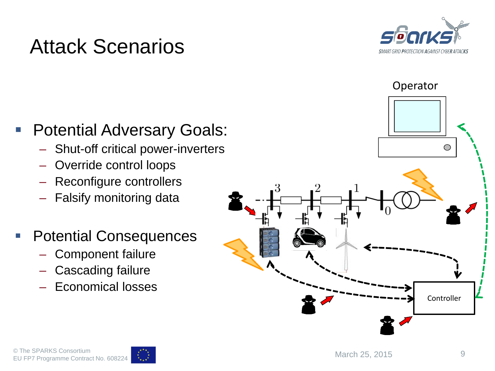

#### Attack Scenarios

#### **Potential Adversary Goals:**

- Shut-off critical power-inverters
- Override control loops
- Reconfigure controllers
- Falsify monitoring data
- **Potential Consequences** 
	- Component failure
	- Cascading failure
	- Economical losses



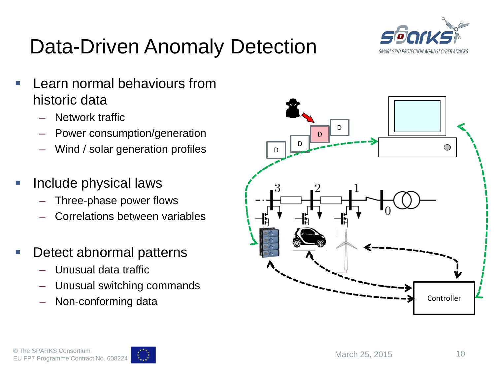

#### Data-Driven Anomaly Detection

- Learn normal behaviours from historic data
	- Network traffic
	- Power consumption/generation
	- Wind / solar generation profiles
- Include physical laws
	- Three-phase power flows
	- Correlations between variables
- Detect abnormal patterns
	- Unusual data traffic
	- Unusual switching commands
	- Non-conforming data



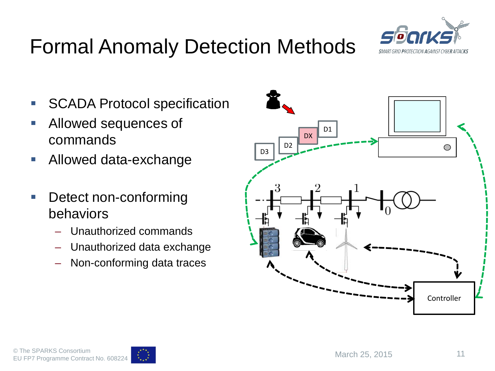

#### Formal Anomaly Detection Methods

- **SCADA Protocol specification**
- **Allowed sequences of** commands
- **Allowed data-exchange**
- **Detect non-conforming** behaviors
	- Unauthorized commands
	- Unauthorized data exchange
	- Non-conforming data traces



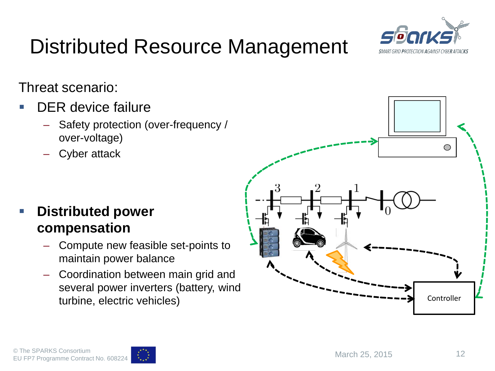

# Distributed Resource Management

Threat scenario:

- DER device failure
	- Safety protection (over-frequency / over-voltage)
	- Cyber attack

#### **Distributed power compensation**

- Compute new feasible set-points to maintain power balance
- Coordination between main grid and several power inverters (battery, wind turbine, electric vehicles)



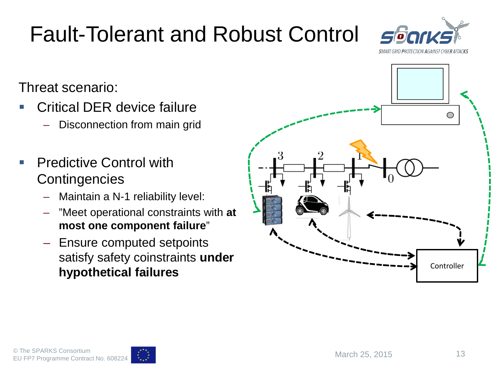#### Critical DER device failure – Disconnection from main grid

 Predictive Control with **Contingencies** 

Threat scenario:

- Maintain a N-1 reliability level:
- "Meet operational constraints with **at most one component failure**"
- Ensure computed setpoints satisfy safety coinstraints **under hypothetical failures**